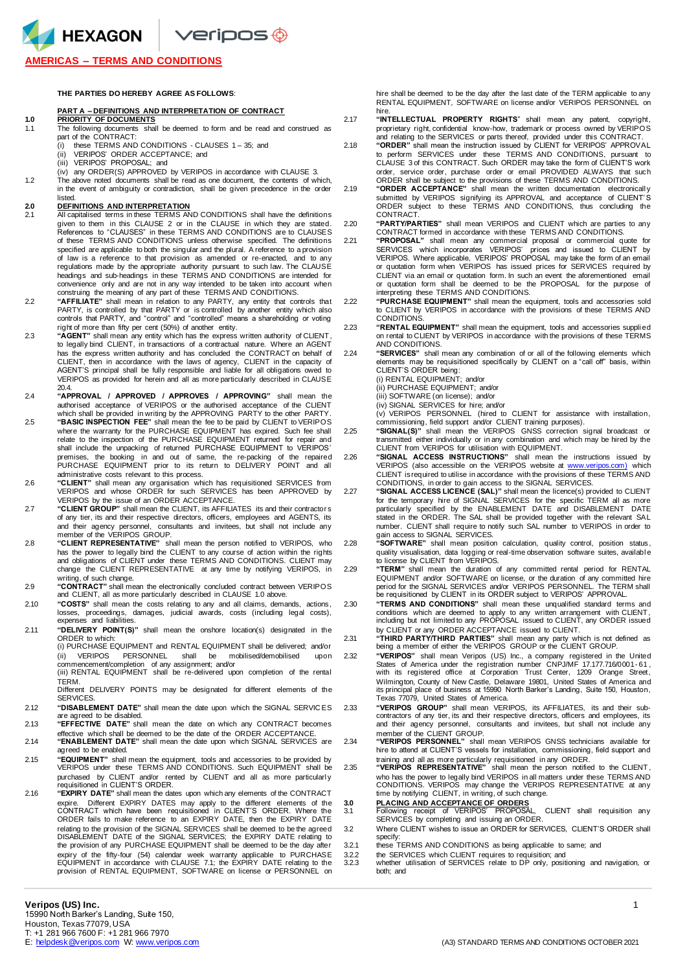HEXAGON Veripos +

## **AMERICAS – TERMS AND CONDITIONS**

### **THE PARTIES DO HEREBY AGREE AS FOLLOWS**:

## **PART A – DEFINITIONS AND INTERPRETATION OF CONTRACT**

## **1.0 PRIORITY OF DOCUMENTS**

- 1.1 The following documents shall be deemed to form and be read and construed as part of the CONTRACT:
	- (i) these TERMS AND CONDITIONS CLAUSES 1 35; and
	- (ii) VERIPOS' ORDER ACCEPTANCE; and (iii) VERIPOS' PROPOSAL; and
	- (iv) any ORDER(S) APPROVED by VERIPOS in accordance with CLAUSE 3.
- 1.2 The above noted documents shall be read as one document, the contents of which, in the event of ambiguity or contradiction, shall be given precedence in the order listed

- **2.0 DEFINITIONS AND INTERPRETATION** 2.1 All capitalised terms in these TERMS AND CONDITIONS shall have the definitions given to them in this CLAUSE 2 or in the CLAUSE in which they are stated. References to "CLAUSES" in these TERMS AND CONDITIONS are to CLAUSES of these TERMS AND CONDITIONS unless otherwise specified. The definitions specified are applicable to both the singular and the plural. A reference to a provision of law is a reference to that provision as amended or re-enacted, and to any regulations made by the appropriate authority pursuant to such law. The CLAUSE headings and sub-headings in these TERMS AND CONDITIONS are intended for<br>convenience only and are not in any way intended to be taken into account when<br>construing the meaning of any part of these TERMS AND CONDITIONS.
- "AFFILIATE" shall mean in relation to any PARTY, any entity that controls that<br>PARTY, is controlled by that PARTY or is controlled by another entity which also<br>controls that PARTY, and "control" and "controlled" means a sh right of more than fifty per cent (50%) of another entity.
- 2.3 **"AGENT"** shall mean any entity which has the express written authority of CLIENT, to legally bind CLIENT, in transactions of a contractual nature. Where an AGENT has the express written authority and has concluded the CONTRACT on behalf of CLIENT, then in accordance with the laws of agency, CLIENT in the capacity of AGENT'S principal shall be fully responsible and liable for all obligations owed to VERIPOS as provided for herein and all as more particularly described in CLAUSE 20.4.
- 2.4 **"APPROVAL / APPROVED / APPROVES / APPROVING"** shall mean the authorised acceptance of VERIPOS or the authorised acceptance of the CLIENT
- which shall be provided in writing by the APPROVING PARTY to the other PARTY.<br>2.5 **"BASIC INSPECTION FEE"** shall mean the fee to be paid by CLIENT to VERIPOS where the warranty for the PURCHASE EQUIPMENT has expired. Such fee shall relate to the inspection of the PURCHASE EQUIPMENT returned for repair and shall include the unpacking of returned PURCHASE EQUIPMENT to VERIPOS' premises, the booking in and out of same, the re-packing of the repaired PURCHASE EQUIPMENT prior to its return to DELIVERY POINT and all administrative costs relevant to this process.
- 2.6 **"CLIENT"** shall mean any organisation which has requisitioned SERVICES from VERIPOS and whose ORDER for such SERVICES has been APPROVED by VERIPOS by the issue of an ORDER ACCEPTANCE.
- 2.7 **"CLIENT GROUP"** shall mean the CLIENT, its AFFILIATES its and their contractor s of any tier, its and their respective directors, officers, employees and AGENTS, its and their agency personnel, consultants and invitees, but shall not include any<br>member of the VERIPOS GROUP.<br>2.8 **"CLIENT REPRESENTATIVE**" shall mean the person notified to VERIPOS, who
- has the power to legally bind the CLIENT to any course of action within the rights<br>and obligations of CLIENT under these TERMS AND CONDITIONS. CLIENT may<br>change the CLIENT REPRESENTATIVE \_at any time by notifying VERIPOS, writing, of such change.
- 2.9 **"CONTRACT"** shall mean the electronically concluded contract between VERIPOS and CLIENT, all as more particularly described in CLAUSE 1.0 above.
- 2.10 **"COSTS"** shall mean the costs relating to any and all claims, demands, actions, losses, proceedings, damages, judicial awards, costs (including legal costs), expenses and liabilities.
- 2.11 **"DELIVERY POINT(S)"** shall mean the onshore location(s) designated in the ORDER to which:

(i) PURCHASE EQUIPMENT and RENTAL EQUIPMENT shall be delivered; and/or (ii) VERIPOS PERSONNEL shall be mobilised/demobilised upon commencement/completion of any assignment; and/or

(iii) RENTAL EQUIPMENT shall be re-delivered upon completion of the rental TERM.

Different DELIVERY POINTS may be designated for different elements of the **SERVICES** 

- 2.12 **"DISABLEMENT DATE"** shall mean the date upon which the SIGNAL SERVIC ES are agreed to be disabled.
- 2.13 **"EFFECTIVE DATE"** shall mean the date on which any CONTRACT becomes
- effective which shall be deemed to be the date of the ORDER ACCEPTANCE. 2.14 **"ENABLEMENT DATE"** shall mean the date upon which SIGNAL SERVICES are agreed to be enabled.
- 2.15 **"EQUIPMENT"** shall mean the equipment, tools and accessories to be provided by VERIPOS under these TERMS AND CONDITIONS. Such EQUIPMENT shall be purchased by CLIENT and/or rented by CLIENT and all as more particularly<br>requisitioned in CLIENT'S ORDER.
- 2.16 **"EXPIRY DATE"** shall mean the dates upon which any elements of the CONTRACT expire. Different EXPIRY DATES may apply to the different elements of the<br>CONTRACT which have been requisitioned in CLIENT'S ORDER. Where the<br>ORDER fails to make reference to an EXPIRY DATE, then the EXPIRY DATE relating to the provision of the SIGNAL SERVICES shall be deemed to be the agreed DISABLEMENT DATE of the SIGNAL SERVICES; the EXPIRY DATE relating to the provision of any PURCHASE EQUIPMENT shall be deemed to be the day after expiry of the fifty-four (54) calendar week warranty applicable to PURCHASE EQUIPMENT in accordance with CLAUSE 7.1; the EXPIRY DATE relating to the provision of RENTAL EQUIPMENT, SOFTWARE on license or PERSONNEL on

hire shall be deemed to be the day after the last date of the TERM applicable to any RENTAL EQUIPMENT, SOFTWARE on license and/or VERIPOS PERSONNEL on hire.

- 2.17 **"INTELLECTUAL PROPERTY RIGHTS**" shall mean any patent, copyright, proprietary right, confidential know-how, trademark or process owned by VERIPOS and relating to the SERVICES or parts thereof, provided under this CONTRACT. 2.18 **"ORDER"** shall mean the instruction issued by CLIENT for VERIPOS' APPROVAL
	- to perform SERVICES under these TERMS AND CONDITIONS, pursuant to CLAUSE 3 of this CONTRACT. Such ORDER may take the form of CLIENT'S work order, service order, purchase order or email PROVIDED ALWAYS that such
- ORDER shall be subject to the provisions of these TERMS AND CONDITIONS. 2.19 **"ORDER ACCEPTANCE"** shall mean the written documentation electronicall y submitted by VERIPOS signifying its APPROVAL and acceptance of CLIENT'S<br>ORDER subject to these TERMS AND CONDITIONS, thus concluding the CONTRACT.

2.20 **"PARTY/PARTIES"** shall mean VERIPOS and CLIENT which are parties to any CONTRACT formed in accordance with these TERMS AND CONDITIONS. 2.21 **"PROPOSAL"** shall mean any commercial proposal or commercial quote for

- SERVICES which incorporates VERIPOS' prices and issued to CLIENT by VERIPOS. Where applicable, VERIPOS' PROPOSAL may take the form of an email or quotation form when VERIPOS has issued prices for SERVICES required by CLIENT via an email or quotation form. In such an event the aforementioned email or quotation form shall be deemed to be the PROPOSAL for the purpose of interpreting these TERMS AND CONDITIONS.
- 2.22 **"PURCHASE EQUIPMENT"** shall mean the equipment, tools and accessories sold to CLIENT by VERIPOS in accordance with the provisions of these TERMS AND **CONDITIONS**
- 2.23 **"RENTAL EQUIPMENT"** shall mean the equipment, tools and accessories suppli ed on rental to CLIENT by VERIPOS in accordance with the provisions of these TERMS AND CONDITIONS.
- 2.24 **"SERVICES"** shall mean any combination of or all of the following elements which elements may be requisitioned specifically by CLIENT on a "call off" basis, within CLIENT'S ORDER being:
	- (i) RENTAL EQUIPMENT; and/or
	- (ii) PURCHASE EQUIPMENT; and/or
	- (iii) SOFTWARE (on license); and/or
	- (iv) SIGNAL SERVICES for hire; and/or

(v) VERIPOS PERSONNEL (hired to CLIENT for assistance with installation, commissioning, field support and/or CLIENT training purposes).

- 2.25 **"SIGNAL(S)"** shall mean the VERIPOS GNSS correction signal broadcast or transmitted either individually or in any combination and which may be hired by the CLIENT from VERIPOS for utilisation with EQUIPMENT.
- 2.26 **"SIGNAL ACCESS INSTRUCTIONS"** shall mean the instructions issued by VERIPOS (also accessible on the VERIPOS website at [www.veripos.com\)](http://www.veripos.com/) which CLIENT is required to utilise in accordance with the provisions of these TERMS AND CONDITIONS, in order to gain access to the SIGNAL SERVICES.
- 2.27 **"SIGNAL ACCESS LICENCE (SAL)"** shall mean the licence(s) provided to CLIENT for the temporary hire of SIGNAL SERVICES for the specific TERM all as more<br>particularly specified by the ENABLEMENT DATE and DISABLEMENT DATE<br>stated in the ORDER. The SAL shall be provided together with the relevant SAL number. CLIENT shall require to notify such SAL number to VERIPOS in order to
- gain access to SIGNAL SERVICES.<br>2.28 **"SOFTWARE"** shall mean position calculation, quality control, position status, quality visualisation, data logging or real-time observation software suites, available
- to license by CLIENT from VERIPOS. 2.29 **"TERM"** shall mean the duration of any committed rental period for RENTAL EQUIPMENT and/or SOFTWARE on license, or the duration of any committed hire period for the SIGNAL SERVICES and/or VERIPOS PERSONNEL. The TERM shall be requisitioned by CLIENT in its ORDER subject to VERIPOS' APPROVAL.
- 2.30 **"TERMS AND CONDITIONS"** shall mean these unqualified standard terms and conditions which are deemed to apply to any written arrangement with CLIENT, including but not limited to any PROPOSAL issued to CLIENT, any ORDER issued by CLIENT or any ORDER ACCEPTANCE issued to CLIENT.<br>2.31 **"THIRD PARTY/THIRD PARTIES"** shall mean any party which is not defined as
	- being a member of either the VERIPOS GROUP or the CLIENT GROUP.
- "**VERIPOS**" shall mean Veripos (US) Inc., a company registered in the United<br>States of America under the registration number CNPJ/MF 17.177.716/0001-61<br>with its registered office at Corporation Trust Center, 1209 Orange St Wilmington, County of New Castle, Delaware 19801, United States of America and its principal place of business at 15990 North Barker's Landing, Suite 150, Houston, Texas 77079, United States of America.
- 2.33 **"VERIPOS GROUP"** shall mean VERIPOS, its AFFILIATES, its and their sub-contractors of any tier, its and their respective directors, officers and employees, its and their agency personnel, consultants and invitees, but shall not include any member of the CLIENT GROUP. 2.34 **"VERIPOS PERSONNEL"** shall mean VERIPOS GNSS technicians available for
- hire to attend at CLIENT'S vessels for installation, commissioning, field support and training and all as more particularly requisitioned in any ORDER. 2.35 **"VERIPOS REPRESENTATIVE"** shall mean the person notified to the CLIENT ,
	- who has the power to legally bind VERIPOS in all matters under these TERMS AND CONDITIONS. VERIPOS may change the VERIPOS REPRESENTATIVE at any time by notifying CLIENT, in writing, of such change.
	-
- **3.0 PLACING AND ACCEPTANCE OF ORDERS** 3.1 Following receipt of VERIPOS' PROPOSAL, CLIENT shall requisition any SERVICES by completing and issuing an ORDER. 3.2 Where CLIENT wishes to issue an ORDER for SERVICES, CLIENT'S ORDER shall
	- specify:
- 3.2.1 these TERMS AND CONDITIONS as being applicable to same; and<br>3.2.2 the SERVICES which CLIENT requires to requisition; and
- 3.2.2 the SERVICES which CLIENT requires to requisition; and 3.2.3 whether utilisation of SERVICES relate to DP only, positioning and navigation, or
- both; and

## **Veripos (US) Inc.** 1

15990 North Barker's Landing, Suite 150, Houston, Texas 77079, USA T: +1 281 966 7600 F: +1 281 966 7970<br>E: helpdesk @veripos.com W: www.veripos.com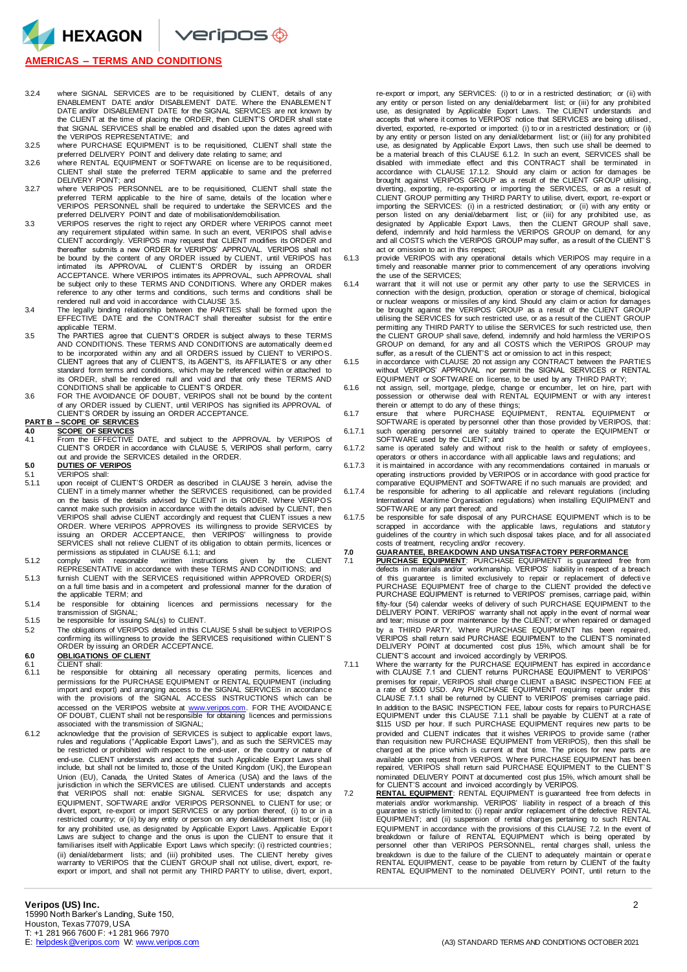HEXAGON Veripos ®

## **AMERICAS – TERMS AND CONDITIONS**

- 3.2.4 where SIGNAL SERVICES are to be requisitioned by CLIENT, details of any ENABLEMENT DATE and/or DISABLEMENT DATE. Where the ENABLEMEN T DATE and/or DISABLEMENT DATE for the SIGNAL SERVICES are not known by the CLIENT at the time of placing the ORDER, then CLIENT'S ORDER shall state that SIGNAL SERVICES shall be enabled and disabled upon the dates agreed with the VERIPOS REPRESENTATIVE; and
- 3.2.5 where PURCHASE EQUIPMENT is to be requisitioned, CLIENT shall state the
- preferred DELIVERY POINT and delivery date relating to same; and 3.2.6 where RENTAL EQUIPMENT or SOFTWARE on license are to be requisitioned, CLIENT shall state the preferred TERM applicable to same and the preferred
- DELIVERY POINT; and 3.2.7 where VERIPOS PERSONNEL are to be requisitioned, CLIENT shall state the preferred TERM applicable to the hire of same, details of the location where<br>VERIPOS PERSONNEL shall be required to undertake the SERVICES and the<br>preferred DELIVERY POINT and date of mobilisation/demobilisation.
- VERIPOS reserves the right to reject any ORDER where VERIPOS cannot meet<br>any requirement stipulated within same. In such an event, VERIPOS shall advise<br>CLIENT accordingly. VERIPOS may request that CLIENT modifies its ORDER thereafter submits a new ORDER for VERIPOS' APPROVAL. VERIPOS shall not<br>be bound by the content of any ORDER issued by CLIENT, until VERIPOS has<br>intimated its APPROVAL of CLIENT'S ORDER by issuing an ORDER ACCEPTANCE. Where VERIPOS intimates its APPROVAL, such APPROVAL shall be subject only to these TERMS AND CONDITIONS. Where any ORDER makes reference to any other terms and conditions, such terms and conditions shall be
- rendered null and void in accordance with CLAUSE 3.5.<br>3.4 The legally binding relationship between the PARTIES shall be formed upon the<br>EFFECTIVE DATE and the CONTRACT shall thereafter subsist for the entire applicable TERM.
- 3.5 The PARTIES agree that CLIENT'S ORDER is subject always to these TERMS AND CONDITIONS. These TERMS AND CONDITIONS are automatically deem ed to be incorporated within any and all ORDERS issued by CLIENT to VERIPOS. CLIENT agrees that any of CLIENT'S, its AGENT'S, its AFFILIATE'S or any other standard form terms and conditions, which may be referenced within or attached to its ORDER, shall be rendered null and void and that only these TERMS AND
- CONDITIONS shall be applicable to CLIENT'S ORDER. 3.6 FOR THE AVOIDANCE OF DOUBT, VERIPOS shall not be bound by the content of any ORDER issued by CLIENT, until VERIPOS has signified its APPROVAL of CLIENT'S ORDER by issuing an ORDER ACCEPTANCE.

# **PART B – SCOPE OF SERVICES**<br>4.0 SCOPE OF SERVICES

- 
- **4.0 SCOPE OF SERVICES** 4.1 From the EFFECTIVE DATE, and subject to the APPROVAL by VERIPOS of CLIENT'S ORDER in accordance with CLAUSE 5, VERIPOS shall perform, carry out and provide the SERVICES detailed in the ORDER.
- **5.0 DUTIES OF VERIPOS**
- 5.1 VERIPOS shall:<br>5.1.1 upon receipt of upon receipt of CLIENT'S ORDER as described in CLAUSE 3 herein, advise the CLIENT in a timely manner whether the SERVICES requisitioned, can be provided on the basis of the details advised by CLIENT in its ORDER. Where VERIPOS cannot make such provision in accordance with the details advised by CLIENT, then VERIPOS shall advise CLIENT accordingly and request that CLIENT issues a new ORDER. Where VERIPOS APPROVES its willingness to provide SERVICES by<br>issuing an ORDER ACCEPTANCE, then VERIPOS' willingness to provide<br>SERVICES shall not relieve CLIENT of its obligation to obtain permits, licences or permissions as stipulated in CLAUSE 6.1.1; and
- 5.1.2 comply with reasonable written instructions given by the CLIENT REPRESENTATIVE in accordance with these TERMS AND CONDITIONS; and
- 5.1.3 furnish CLIENT with the SERVICES requisitioned within APPROVED ORDER(S) on a full time basis and in a competent and professional manner for the duration of the applicable TERM; and
- 5.1.4 be responsible for obtaining licences and permissions necessary for the transmission of SIGNAL;
- 5.1.5 be responsible for issuing SAL(s) to CLIENT.
- 5.2 The obligations of VERIPOS detailed in this CLAUSE 5 shall be subject to VERIPOS confirming its willingness to provide the SERVICES requisitioned within CLIENT' S ORDER by issuing an ORDER ACCEPTANCE.

## **6.0 OBLIGATIONS OF CLIENT** 6.1 CLIENT shall:

- 6.1.1 be responsible for obtaining all necessary operating permits, licences and permissions for the PURCHASE EQUIPMENT or RENTAL EQUIPMENT (including import and export) and arranging access to the SIGNAL SERVICES in accordance with the provisions of the SIGNAL ACCESS INSTRUCTIONS which can be accessed on the VERIPOS website at [www.veripos.com.](http://www.veripos.com/) FOR THE AVOIDANCE<br>OF DOUBT, CLIENT shall not be responsible for obtaining licences and permissions associated with the transmission of SIGNAL;
- 6.1.2 acknowledge that the provision of SERVICES is subject to applicable export laws, rules and regulations ("Applicable Export Laws"), and as such the SERVICES may be restricted or prohibited with respect to the end-user, or the country or nature of end-use. CLIENT understands and accepts that such Applicable Export Laws shall include, but shall not be limited to, those of the United Kingdom (UK), the European Union (EU), Canada, the United States of America (USA) and the laws of the<br>jurisdiction in which the SERVICES are utilised. CLIENT understands and accepts<br>that VERIPOS shall not: enable SIGNAL SERVICES for use; dispatch an EQUIPMENT, SOFTWARE and/or VERIPOS PERSONNEL to CLIENT for use; or<br>divert, export, re-export or import SERVICES or any portion thereof, (i) to or in a<br>restricted country; or (ii) by any entity or person on any denial/debar for any prohibited use, as designated by Applicable Export Laws. Applicable Export<br>Laws are subject to change and the onus is upon the CLIENT to ensure that it<br>familiarises itself with Applicable Export Laws which specify: (ii) denial/debarment lists; and (iii) prohibited uses. The CLIENT hereby gives warranty to VERIPOS that the CLIENT GROUP shall not utilise, divert, export, reexport or import, and shall not permit any THIRD PARTY to utilise, divert, export,

re-export or import, any SERVICES: (i) to or in a restricted destination; or (ii) with any entity or person listed on any denial/debarment list; or (iii) for any prohibited use, as designated by Applicable Export Laws. The CLIENT understands and accepts that where it comes to VERIPOS' notice that SERVICES are being utilised , diverted, exported, re-exported or imported: (i) to or in a restricted destination; or (ii) by any entity or person listed on any denial/debarment list; or (iii) for any prohibited use, as designated by Applicable Export Laws, then such use shall be deemed to be a material breach of this CLAUSE 6.1.2. In such an event, SERVICES shall be disabled with immediate effect and this CONTRACT shall be terminated in accordance with CLAUSE 17.1.2. Should any claim or action for damages be brought against VERIPOS GROUP as a result of the CLIENT GROUP utilising, diverting, exporting, re-exporting or importing the SERVICES, or as a result of CLIENT GROUP permitting any THIRD PARTY to utilise, divert, export, re-export or<br>importing the SERVICES: (i) in a restricted destination; or (ii) with any entity or<br>person listed on any denial/debarment list; or (iii) for designated by Applicable Export Laws, then the CLIENT GROUP shall save,<br>defend, indemnify and hold harmless the VERIPOS GROUP on demand, for any<br>and all COSTS which the VERIPOS GROUP may suffer, as a result of the CLIENT'S act or omission to act in this respect;

6.1.3 provide VERIPOS with any operational details which VERIPOS may require in a timely and reasonable manner prior to commencement of any operations involving the use of the SERVICES;

- 6.1.4 warrant that it will not use or permit any other party to use the SERVICES in connection with the design, production, operation or storage of chemical, biological or nuclear weapons or missiles of any kind. Should any claim or action for damages<br>be brought against the VERIPOS GROUP as a result of the CLIENT GROUP<br>utilising the SERVICES for such restricted use, or as a result of the permitting any THIRD PARTY to utilise the SERVICES for such restricted use, then the CLIENT GROUP shall save, defend, indemnify and hold harmless the VERIPOS GROUP on demand, for any and all COSTS which the VERIPOS GROUP may suffer, as a result of the CLIENT'S act or omission to act in this respect;
- 6.1.5 in accordance with CLAUSE 20 not assign any CONTRACT between the PARTIES without VERIPOS' APPROVAL nor permit the SIGNAL SERVICES or RENTAL
- EQUIPMENT or SOFTWARE on license, to be used by any THIRD PARTY;<br>6.1.6 not assign, sell, mortgage, pledge, change or encumber, let on hire, part with<br>possession or otherwise deal with RENTAL EQUIPMENT or with any interest therein or attempt to do any of these things;

6.1.7 ensure that where PURCHASE EQUIPMENT, RENTAL EQUIPMENT or SOFTWARE is operated by personnel other than those provided by VERIPOS, that: 6.1.7.1 such operating personnel are suitably trained to operate the EQUIPMENT or

- SOFTWARE used by the CLIENT; and 6.1.7.2 same is operated safely and without risk to the health or safety of employees, operators or others in accordance with all applicable laws and regulations; and
- 6.1.7.3 it is maintained in accordance with any recommendations contained in manuals or operating instructions provided by VERIPOS or in accordance with good practice for comparative EQUIPMENT and SOFTWARE if no such manuals are provided; and
- 6.1.7.4 be responsible for adhering to all applicable and relevant regulations (including International Maritime Organisation regulations) when installing EQUIPMENT and SOFTWARE or any part thereof; and
- 6.1.7.5 be responsible for safe disposal of any PURCHASE EQUIPMENT which is to be scrapped in accordance with the applicable laws, regulations and statutory<br>guidelines of the country in which such disposal takes place, and for all associated costs of treatment, recycling and/or recovery.

# **7.0 GUARANTEE, BREAKDOWN AND UNSATISFACTORY PERFORMANCE**

- **PURCHASE EQUIPMENT:** PURCHASE EQUIPMENT is guaranteed free from<br>defects in materials and/or workmanship. VERIPOS' liability in respect of a breach defects in materials and/or workmanship. VERIPOS' liability in respect of a breach of this guarantee is limited exclusively to repair or replacement of defective<br>PURCHASE EQUIPMENT free of charge to the CLIENT provided the defective<br>PURCHASE EQUIPMENT is returned to VERIPOS' premises, carriage paid, with fifty-four (54) calendar weeks of delivery of such PURCHASE EQUIPMENT to the<br>DELIVERY POINT. VERIPOS' warranty shall not apply in the event of normal wear<br>and tear; misuse or poor maintenance by the CLIENT; or when repaire by a THIRD PARTY. Where PURCHASE EQUIPMENT has been repaired, VERIPOS shall return said PURCHASE EQUIPMENT to the CLIENT'S nominated DELIVERY POINT at documented cost plus 15%, which amount shall be for
- CLIENT'S account and invoiced accordingly by VERIPOS. 7.1.1 Where the warranty for the PURCHASE EQUIPMENT has expired in accordance with CLAUSE 7.1 and CLIENT returns PURCHASE EQUIPMENT to VERIPOS' premises for repair, VERIPOS shall charge CLIENT a BASIC INSPECTION FEE at a rate of \$500 USD. Any PURCHASE EQUIPMENT requiring repair under this CLAUSE 7.1.1 shall be returned by CLIENT to VERIPOS' premises carriage paid. In addition to the BASIC INSPECTION FEE, labour costs for repairs to PURCHASE<br>EQUIPMENT under this CLAUSE 7.1.1. shall be payable by CLIENT at a rate of<br>\$115 USD per hour. If such PURCHASE EQUIPMENT requires new parts to b provided and CLIENT indicates that it wishes VERIPOS to provide same (rather than requisition new PURCHASE EQUIPMENT from VERIPOS), then this shall be charged at the price which is current at that time. The prices for new parts are available upon request from VERIPOS. Where PURCHASE EQUIPMENT has been repaired, VERIPOS shall return said PURCHASE EQUIPMENT to the CLIENT' S nominated DELIVERY POINT at documented cost plus 15%, which amount shall be<br>for CLIENT'S account and invoiced accordingly by VERIPOS.<br>**7.2 RENTAL EQUIPMENT**: RENTAL EQUIPMENT is guaranteed free from defects in
	- materials and/or workmanship. VERIPOS' liability in respect of a breach of this<br>guarantee is strictly limited to: (i) repair and/or replacement of the defective RENTAL<br>EQUIPMENT; and (ii) suspension of rental charges perta EQUIPMENT in accordance with the provisions of this CLAUSE 7.2. In the event of breakdown or failure of RENTAL EQUIPMENT which is being operated by personnel other than VERIPOS PERSONNEL, rental charges shall, unless the breakdown is due to the failure of the CLIENT to adequately maintain or operatie<br>RENTAL EQUIPMENT, cease to be payable from return by CLIENT of the faulty<br>RENTAL EQUIPMENT to the nominated DELIVERY POINT, until return to t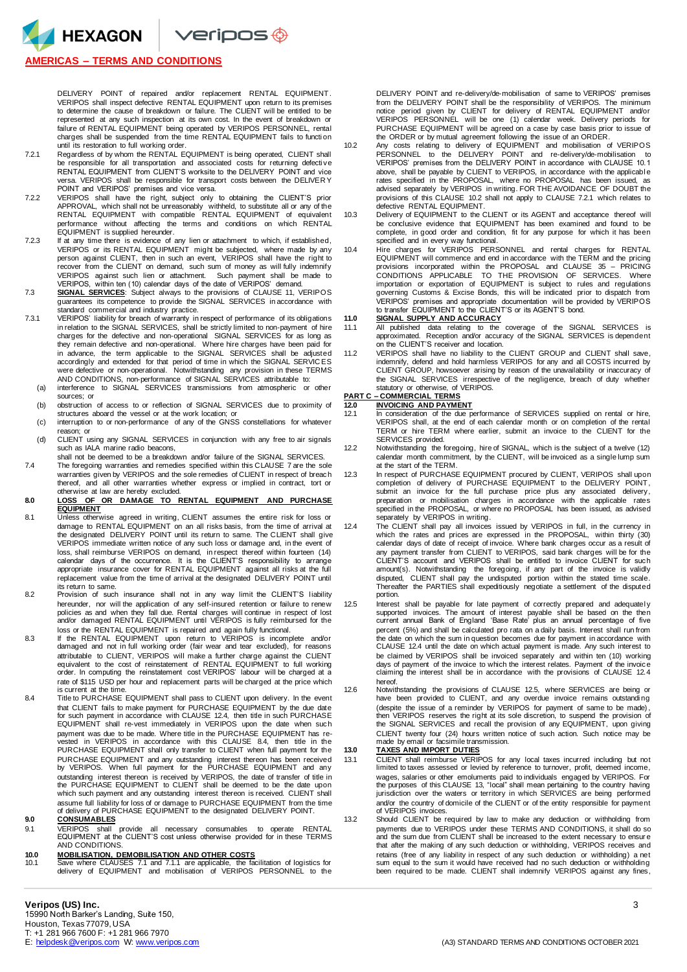

## **AMERICAS – TERMS AND CONDITIONS**

DELIVERY POINT of repaired and/or replacement RENTAL EQUIPMENT. VERIPOS shall inspect defective RENTAL EQUIPMENT upon return to its premises to determine the cause of breakdown or failure. The CLIENT will be entitled to be represented at any such inspection at its own cost. In the event of breakdown or failure of RENTAL EQUIPMENT being operated by VERIPOS PERSONNEL, rental charges shall be suspended from the time RENTAL EQUIPMENT fails to functi on until its restoration to full working order.

- 7.2.1 Regardless of by whom the RENTAL EQUIPMENT is being operated, CLIENT shall be responsible for all transportation and associated costs for returning defecti ve RENTAL EQUIPMENT from CLIENT'S worksite to the DELIVERY POINT and vice versa. VERIPOS shall be responsible for transport costs between the DELIVER Y POINT and VERIPOS' premises and vice versa.
- 7.2.2 VERIPOS shall have the right, subject only to obtaining the CLIENT'S prior APPROVAL, which shall not be unreasonably withheld, to substitute all or any of the RENTAL EQUIPMENT with compatible RENTAL EQUIPMENT of equivalent performance without affecting the terms and conditions on which RENTAL EQUIPMENT is supplied hereunder.
- 7.2.3 If at any time there is evidence of any lien or attachment to which, if established, VERIPOS or its RENTAL EQUIPMENT might be subjected, where made by any person against CLIENT, then in such an event, VERIPOS shall have the right to recover from the CLIENT on demand, such sum of money as will fully indemnify VERIPOS against such lien or attachment. Such payment shall be made to<br>VERIPOS, within ten (10) calendar days of the date of VERIPOS' demand.<br>T.3 SIGNAL SERVICES: Subject always to the provisions of CLAUSE 11, VERIPOS
- guarantees its competence to provide the SIGNAL SERVICES in accordance with standard commercial and industry practice.
- 7.3.1 VERIPOS' liability for breach of warranty in respect of performance of its obligations in relation to the SIGNAL SERVICES, shall be strictly limited to non-payment of hire charges for the defective and non-operational SIGNAL SERVICES for as long as they remain defective and non-operational. Where hire charges have been paid for in advance, the term applicable to the SIGNAL SERVICES shall be adjusted accordingly and extended for that period of time in which the SIGNAL SERVIC ES were defective or non-operational. Notwithstanding any provision in these TERMS AND CONDITIONS, non-performance of SIGNAL SERVICES attributable to:
	- (a) interference to SIGNAL SERVICES transmissions from atmospheric or other sources; or
	- (b) obstruction of access to or reflection of SIGNAL SERVICES due to proximity of structures aboard the vessel or at the work location; or (c) interruption to or non-performance of any of the GNSS constellations for whatever
	- reason; or
	- (d) CLIENT using any SIGNAL SERVICES in conjunction with any free to air signals such as IALA marine radio beacons, shall not be deemed to be a breakdown and/or failure of the SIGNAL SERVICES.
- 7.4 The foregoing warranties and remedies specified within this CLAUSE 7 are the sole warranties given by VERIPOS and the sole remedies of CLIENT in respect of breach thereof, and all other warranties whether express or implied in contract, tort or otherwise at law are hereby excluded.

### **8.0 LOSS OF OR DAMAGE TO RENTAL EQUIPMENT AND PURCHASE EQUIPMENT**

- 8.1 Unless otherwise agreed in writing, CLIENT assumes the entire risk for loss or damage to RENTAL EQUIPMENT on an all risks basis, from the time of arrival at the designated DELIVERY POINT until its return to same. The CLIENT shall give VERIPOS immediate written notice of any such loss or damage and, in the event of loss, shall reimburse VERIPOS on demand, in respect thereof within fourteen (14) calendar days of the occurrence. It is the CLIENT'S responsibility to arrange appropriate insurance cover for RENTAL EQUIPMENT against all risks at the full replacement value from the time of arrival at the designated DELIVERY POINT until its return to same.
- 8.2 Provision of such insurance shall not in any way limit the CLIENT'S liability hereunder, nor will the application of any self-insured retention or failure to renew<br>policies as and when they fall due. Rental charges will continue in respect of lost<br>and/or damaged RENTAL EQUIPMENT until VERIPOS is ful
- loss or the RENTAL EQUIPMENT is repaired and again fully functional. 8.3 If the RENTAL EQUIPMENT upon return to VERIPOS is incomplete and/or damaged and not in full working order (fair wear and tear excluded), for reasons attributable to CLIENT, VERIPOS will make a further charge against the CLIENT equivalent to the cost of reinstatement of RENTAL EQUIPMENT to full working order. In computing the reinstatement cost VERIPOS' labour will be charged at a rate of \$115 USD per hour and replacement parts will be charged at the price which is current at the time.
- 8.4 Title to PURCHASE EQUIPMENT shall pass to CLIENT upon delivery. In the event that CLIENT fails to make payment for PURCHASE EQUIPMENT by the due date for such payment in accordance with CLAUSE 12.4, then title in such PURCHASE EQUIPMENT shall re-vest immediately in VERIPOS upon the date when such payment was due to be made. Where title in the PURCHASE EQUIPMENT has re-vested in VERIPOS in accordance with this CLAUSE 8.4, then title in the PURCHASE EQUIPMENT shall only transfer to CLIENT when full payment for the PURCHASE EQUIPMENT and any outstanding interest thereon has been received by VERIPOS. When full payment for the PURCHASE EQUIPMENT and any outstanding interest thereon is received by VERIPOS, the date of transfer of title in the PURCHASE EQUIPMENT to CLIENT shall be deemed to be the date upon which such payment and any outstanding interest thereon is received. CLIENT shall assume full liability for loss of or damage to PURCHASE EQUIPMENT from the time of delivery of PURCHASE EQUIPMENT to the designated DELIVERY POINT.

### **9.0 CONSUMABLES**

9.1 VERIPOS shall provide all necessary consumables to operate RENTAL EQUIPMENT at the CLIENT'S cost unless otherwise provided for in these TERMS AND CONDITIONS.

# **10.0 MOBILISATION, DEMOBILISATION AND OTHER COSTS**

10.1 Save where CLAUSES 7.1 and 7.1.1 are applicable, the facilitation of logistics for delivery of EQUIPMENT and mobilisation of VERIPOS PERSONNEL to the

DELIVERY POINT and re-delivery/de-mobilisation of same to VERIPOS' premises from the DELIVERY POINT shall be the responsibility of VERIPOS. The minimum<br>notice period given by CLIENT for delivery of RENTAL EQUIPMENT and/or<br>VERIPOS PERSONNEL will be one (1) calendar week. Delivery periods for PURCHASE EQUIPMENT will be agreed on a case by case basis prior to issue of the ORDER or by mutual agreement following the issue of an ORDER.

- 10.2 Any costs relating to delivery of EQUIPMENT and mobilisation of VERIPOS PERSONNEL to the DELIVERY POINT and re-delivery/de-mobilisation to VERIPOS' premises from the DELIVERY POINT in accordance with CLAUSE 10.1 above, shall be payable by CLIENT to VERIPOS, in accordance with the applicable rates specified in the PROPOSAL, where no PROPOSAL has been issued, as advised separately by VERIPOS in writing. FOR THE AVOIDANCE OF DOUBT the provisions of this CLAUSE 10.2 shall not apply to CLAUSE 7.2.1 which relates to defective RENTAL EQUIPMENT.
- 10.3 Delivery of EQUIPMENT to the CLIENT or its AGENT and acceptance thereof will be conclusive evidence that EQUIPMENT has been examined and found to be complete, in good order and condition, fit for any purpose for which it has been specified and in every way functional.
- 10.4 Hire charges for VERIPOS PERSONNEL and rental charges for RENTAL EQUIPMENT will commence and end in accordance with the TERM and the pricing provisions incorporated within the PROPOSAL and CLAUSE 35 PRICING CONDITIONS APPLICABLE TO THE PROVISION OF SERVICES. Where<br>importation or exportation of EQUIPMENT is subject to rules and regulations<br>governing Customs & Excise Bonds, this will be indicated prior to dispatch from VERIPOS' premises and appropriate documentation will be provided by VERIPOS to transfer EQUIPMENT to the CLIENT'S or its AGENT'S bond.

## **11.0 SIGNAL SUPPLY AND ACCURACY**

- 11.1 All published data relating to the coverage of the SIGNAL SERVICES is approximated. Reception and/or accuracy of the SIGNAL SERVICES is dependent on the CLIENT'S receiver and location.
- 11.2 VERIPOS shall have no liability to the CLIENT GROUP and CLIENT shall save, indemnify, defend and hold harmless VERIPOS for any and all COSTS incurred by CLIENT GROUP, howsoever arising by reason of the unavailability or inaccuracy of the SIGNAL SERVICES irrespective of the negligence, breach of duty whether statutory or otherwise, of VERIPOS. **PART C – COMMERCIAL TERMS**

- **12.0 INVOICING AND PAYMENT**<br>12.1 **In consideration** of the due **p** 12.1 In consideration of the due performance of SERVICES supplied on rental or hire, VERIPOS shall, at the end of each calendar month or on completion of the rental TERM or hire TERM where earlier, submit an invoice to the CLIENT for the SERVICES provided.
- 12.2 Notwithstanding the foregoing, hire of SIGNAL, which is the subject of a twelve (12) calendar month commitment, by the CLIENT, will be invoiced as a single lump sum at the start of the TERM.
- 12.3 In respect of PURCHASE EQUIPMENT procured by CLIENT, VERIPOS shall upon completion of delivery of PURCHASE EQUIPMENT to the DELIVERY POINT, submit an invoice for the full purchase price plus any associated delivery, preparation or mobilisation charges in accordance with the applicable rates specified in the PROPOSAL, or where no PROPOSAL has been issued, as advised separately by VERIPOS in writing.
- 12.4 The CLIENT shall pay all invoices issued by VERIPOS in full, in the currency in<br>which the rates and prices are expressed in the PROPOSAL, within thirty (30)<br>calendar days of date of receipt of invoice. Where bank char any payment transfer from CLIENT to VERIPOS, said bank charges will be for the CLIENT'S account and VERIPOS shall be entitled to invoice CLIENT for such amount(s). Notwithstanding the foregoing, if any part of the invoice is validly disputed, CLIENT shall pay the undisputed portion within the stated time scale. Thereafter the PARTIES shall expeditiously negotiate a settlement of the disputed portion.
- 12.5 Interest shall be payable for late payment of correctly prepared and adequately<br>supported involces. The amount of interest payable shall be based on the then<br>current annual Bank of England 'Base Rate' plus an annual p percent (5%) and shall be calculated pro rata on a daily basis. Interest shall run from the date on which the sum in question becomes due for payment in accordance with CLAUSE 12.4 until the date on which actual payment is made. Any such interest to be claimed by VERIPOS shall be invoiced separately and within ten (10) working days of payment of the invoice to which the interest relates. Payment of the invoice claiming the interest shall be in accordance with the provisions of CLAUSE 12.4 hereof.
- 12.6 Notwithstanding the provisions of CLAUSE 12.5, where SERVICES are being or have been provided to CLIENT, and any overdue invoice remains outstanding (despite the issue of a reminder by VERIPOS for payment of same to be made) , then VERIPOS reserves the right at its sole discretion, to suspend the provision of the SIGNAL SERVICES and recall the provision of any EQUIPMENT, upon giving CLIENT twenty four (24) hours written notice of such action. Such notice may be made by email or facsimile transmission.

### **13.0 TAXES AND IMPORT DUTIES**

- 13.1 CLIENT shall reimburse VERIPOS for any local taxes incurred including but not limited to taxes assessed or levied by reference to turnover, profit, deemed income, wages, salaries or other emoluments paid to individuals engaged by VERIPOS. For<br>the purposes of this CLAUSE 13, "local" shall mean pertaining to the country having<br>jurisdiction over the waters or territory in which SERVICE and/or the country of domicile of the CLIENT or of the entity responsible for payment of VERIPOS invoices.
- 13.2 Should CLIENT be required by law to make any deduction or withholding from payments due to VERIPOS under these TERMS AND CONDITIONS, it shall do so and the sum due from CLIENT shall be increased to the extent necessary to ensur e that after the making of any such deduction or withholding, VERIPOS receives and retains (free of any liability in respect of any such deduction or withholding) a net sum equal to the sum it would have received had no such deduction or withholding been required to be made. CLIENT shall indemnify VERIPOS against any fines,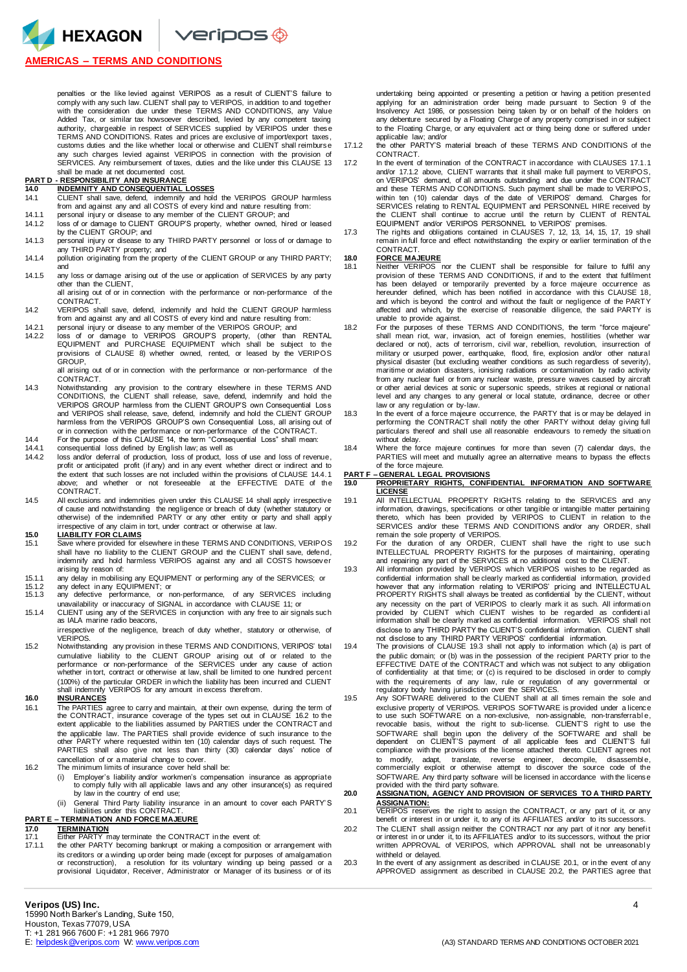HEXAGON Veripos ®

## **AMERICAS – TERMS AND CONDITIONS**

penalties or the like levied against VERIPOS as a result of CLIENT'S failure to comply with any such law. CLIENT shall pay to VERIPOS, in addition to and together with the consideration due under these TERMS AND CONDITIONS, any Value Added Tax, or similar tax howsoever described, levied by any competent taxing authority, chargeable in respect of SERVICES supplied by VERIPOS under these TERMS AND CONDITIONS. Rates and prices are exclusive of import/export taxes, customs duties and the like whether local or otherwise and CLIENT shall reimburse any such charges levied against VERIPOS in connection with the provision of SERVICES. Any reimbursement of taxes, duties and the like under this CLAUSE 13 shall be made at net documented cost.

# **PART D - RESPONSIBILITY AND INSURANCE 14.0 INDEMNITY AND CONSEQUENTIAL LOSSES**

- 14.1 CLIENT shall save, defend, indemnify and hold the VERIPOS GROUP harmless from and against any and all COSTS of every kind and nature resulting from:
- 14.1.1 personal injury or disease to any member of the CLIENT GROUP; and<br>14.1.2 loss of or damage to CLIENT GROUP'S property, whether owned, hir-
- 14.1.2 loss of or damage to CLIENT GROUP'S property, whether owned, hired or leased by the CLIENT GROUP; and 14.1.3 personal injury or disease to any THIRD PARTY personnel or loss of or damage to
- any THIRD PARTY property; and 14.1.4 pollution originating from the property of the CLIENT GROUP or any THIRD PARTY;
- and
- 14.1.5 any loss or damage arising out of the use or application of SERVICES by any party other than the CLIENT,
- all arising out of or in connection with the performance or non-performance of the CONTRACT.
- 14.2 VERIPOS shall save, defend, indemnify and hold the CLIENT GROUP harmless from and against any and all COSTS of every kind and nature resulting from:
- 14.2.1 personal injury or disease to any member of the VERIPOS GROUP; and 14.2.2 loss of or damage to VERIPOS GROUP'S property, (other than RENTAL EQUIPMENT and PURCHASE EQUIPMENT which shall be subject to the provisions of CLAUSE 8) whether owned, rented, or leased by the VERIPOS GROUP,

all arising out of or in connection with the performance or non-performance of the CONTRACT.

- 14.3 Notwithstanding any provision to the contrary elsewhere in these TERMS AND CONDITIONS, the CLIENT shall release, save, defend, indemnify and hold the VERIPOS GROUP harmless from the CLIENT GROUP'S own Consequential Loss and VERIPOS shall release, save, defend, indemnify and hold the CLIENT GROUP harmless from the VERIPOS GROUP'S own Consequential Loss, all arising out of or in connection with the performance or non-performance of the CONTRACT.
- 14.4 For the purpose of this CLAUSE 14, the term "Consequential Loss" shall mean:<br>14.4.1 consequential loss defined by English law; as well as
- 14.4.1 consequential loss defined by English law; as well as<br>14.4.2 loss and/or deferral of production. loss of product. los
- loss and/or deferral of production, loss of product, loss of use and loss of revenue, profit or anticipated profit (if any) and in any event whether direct or indirect and to the extent that such losses are not included within the provisions of CLAUSE 14.4.1 above; and whether or not foreseeable at the EFFECTIVE DATE of the CONTRACT.
- 14.5 All exclusions and indemnities given under this CLAUSE 14 shall apply irrespective of cause and notwithstanding the negligence or breach of duty (whether statutory or otherwise) of the indemnified PARTY or any other entity or party and shall apply irrespective of any claim in tort, under contract or otherwise at law.

# **15.0 LIABILITY FOR CLAIMS**<br>15.1 Save where provided for e

- Save where provided for elsewhere in these TERMS AND CONDITIONS, VERIPOS shall have no liability to the CLIENT GROUP and the CLIENT shall save, defend, indemnify and hold harmless VERIPOS against any and all COSTS howsoever arising by reason of:
- 15.1.1 any delay in mobilising any EQUIPMENT or performing any of the SERVICES; or
- 15.1.2 any defect in any EQUIPMENT; or<br>15.1.3 any defective performance or n any defective performance, or non-performance, of any SERVICES including unavailability or inaccuracy of SIGNAL in accordance with CLAUSE 11; or
- 15.1.4 CLIENT using any of the SERVICES in conjunction with any free to air signals such as IALA marine radio beacons,
	- irrespective of the negligence, breach of duty whether, statutory or otherwise, of VERIPOS.
- 15.2 Notwithstanding any provision in these TERMS AND CONDITIONS, VERIPOS' total cumulative liability to the CLIENT GROUP arising out of or related to the performance or non-performance of the SERVICES under any cause of action whether in tort, contract or otherwise at law, shall be limited to one hundred percent (100%) of the particular ORDER in which the liability has been incurred and CLIENT shall indemnify VERIPOS for any amount in excess therefrom.

### **16.0 INSURANCES**

- 16.1 The PARTIES agree to carry and maintain, at their own expense, during the term of the CONTRACT, insurance coverage of the types set out in CLAUSE 16.2 to the extent applicable to the liabilities assumed by PARTIES under the CONTRACT and the applicable law. The PARTIES shall provide evidence of such insurance to the other PARTY where requested within ten (10) calendar days of such request. The PARTIES shall also give not less than thirty (30) calendar days' notice of cancellation of or a material change to cover.
- 16.2 The minimum limits of insurance cover held shall be:
	- (i) Employer's liability and/or workmen's compensation insurance as appropriate to comply fully with all applicable laws and any other insurance(s) as required by law in the country of end use;
	- (ii) General Third Party liability insurance in an amount to cover each PARTY' S liabilities under this CONTRACT.

# **PART E – TERMINATION AND FORCE MAJEURE**

- 17.0 **TERMINATION**<br>17.1 **Either PARTY** m
- 17.1 Either PARTY may terminate the CONTRACT in the event of:<br>17.1.1 the other PARTY becoming bankrupt or making a composition
- the other PARTY becoming bankrupt or making a composition or arrangement with its creditors or a winding up order being made (except for purposes of amalgamation or reconstruction), a resolution for its voluntary winding up being passed or a provisional Liquidator, Receiver, Administrator or Manager of its business or of its

undertaking being appointed or presenting a petition or having a petition presented applying for an administration order being made pursuant to Section 9 of the Insolvency Act 1986, or possession being taken by or on behalf of the holders on any debenture secured by a Floating Charge of any property comprised in or subject to the Floating Charge, or any equivalent act or thing being done or suffered under applicable law; and/or

- 17.1.2 the other PARTY'S material breach of these TERMS AND CONDITIONS of the CONTRACT.
- 17.2 In the event of termination of the CONTRACT in accordance with CLAUSES 17.1.1 and/or 17.1.2 above, CLIENT warrants that it shall make full payment to VERIPOS, on VERIPOS' demand, of all amounts outstanding and due under the CONTRACT and these TERMS AND CONDITIONS. Such payment shall be made to VERIPOS, within ten (10) calendar days of the date of VERIPOS' demand. Charges for SERVICES relating to RENTAL EQUIPMENT and PERSONNEL HIRE received by the CLIENT shall continue to accrue until the return by CLIENT of RENTAL
- EQUIPMENT and/or VERIPOS PERSONNEL to VERIPOS' premises. 17.3 The rights and obligations contained in CLAUSES 7, 12, 13, 14, 15, 17, 19 shall remain in full force and effect notwithstanding the expiry or earlier termination of th e CONTRACT.

## **18.0 FORCE MAJEURE**

- 18.1 Neither VERIPOS nor the CLIENT shall be responsible for failure to fulfil any provision of these TERMS AND CONDITIONS, if and to the extent that fulfilment has been delayed or temporarily prevented by a force majeure occurrence as hereunder defined, which has been notified in accordance with this CLAUSE 18, and which is beyond the control and without the fault or negligence of the PARTY affected and which, by the exercise of reasonable diligence, the said PARTY is unable to provide against.
- 18.2 For the purposes of these TERMS AND CONDITIONS, the term "force majeure" shall mean riot, war, invasion, act of foreign enemies, hostilities (whether war declared or not), acts of terrorism, civil war, rebellion, revolution, insurrection of military or usurped power, earthquake, flood, fire, explosion and/or other natural physical disaster (but excluding weather conditions as such regardless of severity), maritime or aviation disasters, ionising radiations or contamination by radio activity from any nuclear fuel or from any nuclear waste, pressure waves caused by aircraft or other aerial devices at sonic or supersonic speeds, strikes at regional or national level and any changes to any general or local statute, ordinance, decree or other law or any regulation or by-law.
- 18.3 In the event of a force majeure occurrence, the PARTY that is or may be delayed in performing the CONTRACT shall notify the other PARTY without delay giving full particulars thereof and shall use all reasonable endeavours to remedy the situati on
- without delay. 18.4 Where the force majeure continues for more than seven (7) calendar days, the PARTIES will meet and mutually agree an alternative means to bypass the effects of the force majeure.

# **PART F – GENERAL LEGAL PROVISIONS**

#### **19.0 PROPRIETARY RIGHTS, CONFIDENTIAL INFORMATION AND SOFTWARE LICENSE**

- 19.1 All INTELLECTUAL PROPERTY RIGHTS relating to the SERVICES and any information, drawings, specifications or other tangible or intangible matter pertaining thereto, which has been provided by VERIPOS to CLIENT in relation to the SERVICES and/or these TERMS AND CONDITIONS and/or any ORDER, shall
- remain the sole property of VERIPOS. 19.2 For the duration of any ORDER, CLIENT shall have the right to use such INTELLECTUAL PROPERTY RIGHTS for the purposes of maintaining, operating and repairing any part of the SERVICES at no additional cost to the CLIENT. 19.3 All information provided by VERIPOS which VERIPOS wishes to be regarded as
- confidential information shall be clearly marked as confidential information, provided however that any information relating to VERIPOS' pricing and INTELLECTU AL PROPERTY RIGHTS shall always be treated as confidential by the CLIENT, without any necessity on the part of VERIPOS to clearly mark it as such. All information<br>provided by CLIENT which CLIENT wishes to be regarded as confidential<br>information shall be clearly marked as confidential information. VERIPO disclose to any THIRD PARTY the CLIENT'S confidential information. CLIENT shall not disclose to any THIRD PARTY VERIPOS' confidential information.
- 19.4 The provisions of CLAUSE 19.3 shall not apply to information which (a) is part of the public domain; or (b) was in the possession of the recipient PARTY prior to the EFFECTIVE DATE of the CONTRACT and which was not subject to any obligation of confidentiality at that time; or (c) is required to be disclosed in order to comply with the requirements of any law, rule or regulation of any governmental or regulatory body having jurisdiction over the SERVICES.
- 19.5 Any SOFTWARE delivered to the CLIENT shall at all times remain the sole and exclusive property of VERIPOS. VERIPOS SOFTWARE is provided under a licence<br>to use such SOFTWARE on a non-exclusive, non-assignable, non-transferrable, revocable basis, without the right to sub-license. CLIENT'S right to use the SOFTWARE shall begin upon the delivery of the SOFTWARE and shall be dependent on CLIENT'S payment of all applicable fees and CLIENT'S full compliance with the provisions of the license attached thereto. CLIENT agrees not to modify, adapt, translate, reverse engineer, decompile, disassemble,<br>commercially exploit or otherwise attempt to discover the source code of the SOFTWARE. Any third party software will be licensed in accordance with the license provided with the third party software.

### **20.0 ASSIGNATION, AGENCY AND PROVISION OF SERVICES TO A THIRD PARTY ASSIGNATION:**

- 20.1 VERIPOS reserves the right to assign the CONTRACT, or any part of it, or any benefit or interest in or under it, to any of its AFFILIATES and/or to its successors.
- 20.2 The CLIENT shall assign neither the CONTRACT nor any part of it nor any benefi t or interest in or under it, to its AFFILIATES and/or to its successors, without the prior written APPROVAL of VERIPOS, which APPROVAL shall not be unreasonably withheld or delayed.
- 20.3 In the event of any assignment as described in CLAUSE 20.1, or in the event of any APPROVED assignment as described in CLAUSE 20.2, the PARTIES agree that

15990 North Barker's Landing, Suite 150, Houston, Texas 77079, USA T: +1 281 966 7600 F: +1 281 966 7970<br>E: helpdesk @veripos.com W: www.veripos.com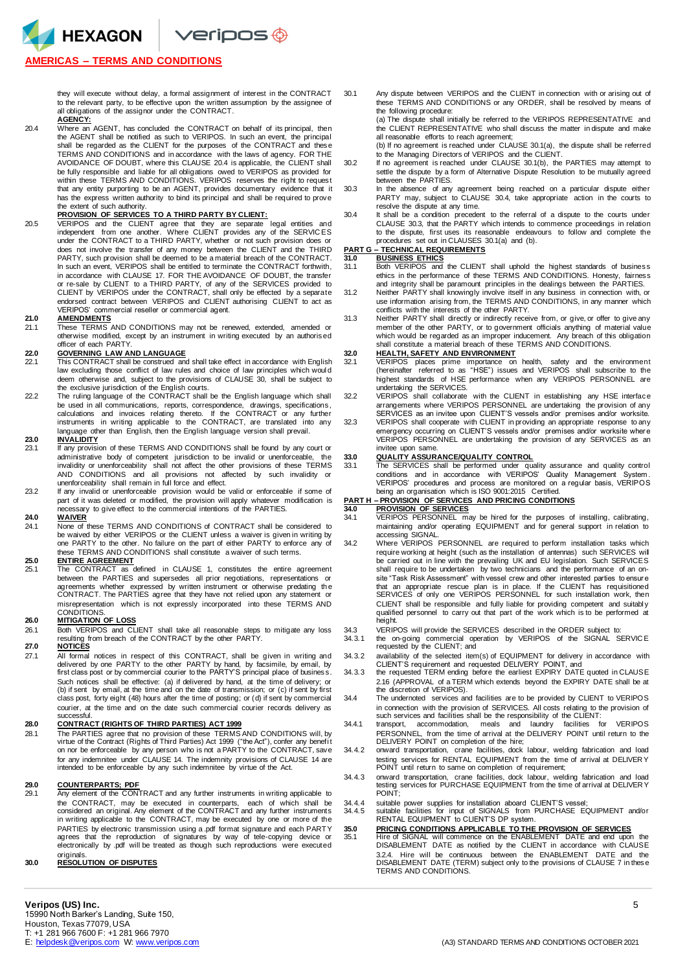HEXAGON Veripos +

## **AMERICAS – TERMS AND CONDITIONS**

they will execute without delay, a formal assignment of interest in the CONTRACT to the relevant party, to be effective upon the written assumption by the assignee of all obligations of the assignor under the CONTRACT. **AGENCY:**

20.4 Where an AGENT, has concluded the CONTRACT on behalf of its principal, then<br>the AGENT shall be notified as such to VERIPOS. In such an event, the principal<br>shall be regarded as the CLIENT for the purposes of the CONTR TERMS AND CONDITIONS and in accordance with the laws of agency. FOR THE AVOIDANCE OF DOUBT, where this CLAUSE 20.4 is applicable, the CLIENT shall be fully responsible and liable for all obligations owed to VERIPOS as provided for within these TERMS AND CONDITIONS. VERIPOS reserves the right to request that any entity purporting to be an AGENT, provides documentary evidence that it has the express written authority to bind its principal and shall be required to prove

# the extent of such authority. **PROVISION OF SERVICES TO A THIRD PARTY BY CLIENT:**

20.5 VERIPOS and the CLIENT agree that they are separate legal entities and independent from one another. Where CLIENT provides any of the SERVIC ES under the CONTRACT to a THIRD PARTY, whether or not such provision does or does not involve the transfer of any money between the CLIENT and the THIRD PARTY, such provision shall be deemed to be a material breach of the CONTRACT. In such an event, VERIPOS shall be entitled to terminate the CONTRACT forthwith, in accordance with CLAUSE 17. FOR THE AVOIDANCE OF DOUBT, the transfer or re-sale by CLIENT to a THIRD PARTY, of any of the SERVICES provided to CLIENT by VERIPOS under the CONTRACT, shall only be effected by a separate endorsed contract between VERIPOS and CLIENT authorising CLIENT to act as VERIPOS' commercial reseller or commercial agent.

# **21.0 AMENDMENTS**

2011 These TERMS AND CONDITIONS may not be renewed, extended, amended or otherwise modified, except by an instrument in writing executed by an authorised officer of each PARTY.

- **22.0 GOVERNING LAW AND LANGUAGE** 22.1 This CONTRACT shall be construed and shall take effect in accordance with English law excluding those conflict of law rules and choice of law principles which woul d deem otherwise and, subject to the provisions of CLAUSE 30, shall be subject to the exclusive jurisdiction of the English courts.
- 22.2 The ruling language of the CONTRACT shall be the English language which shall be used in all communications, reports, correspondence, drawings, specifications, calculations and invoices relating thereto. If the CONTRACT or any further instruments in writing applicable to the CONTRACT, are translated into any language other than English, then the English language version shall prevail.

- **23.0 INVALIDITY** 23.1 If any provision of these TERMS AND CONDITIONS shall be found by any court or administrative body of competent jurisdiction to be invalid or unenforceable, the invalidity or unenforceability shall not affect the other provisions of these TERMS AND CONDITIONS and all provisions not affected by such invalidity or unenforceability shall remain in full force and effect.
- 23.2 If any invalid or unenforceable provision would be valid or enforceable if some of part of it was deleted or modified, the provision will apply whatever modification is necessary to give effect to the commercial intentions of the PARTIES.

### **24.0 WAIVER**

24.1 None of these TERMS AND CONDITIONS of CONTRACT shall be considered to be waived by either VERIPOS or the CLIENT unless a waiver is given in writing by one PARTY to the other. No failure on the part of either PARTY to enforce any of these TERMS AND CONDITIONS shall constitute a waiver of such terms.

**25.0 ENTIRE AGREEMENT** 25.1 The CONTRACT as defined in CLAUSE 1, constitutes the entire agreement between the PARTIES and supersedes all prior negotiations, representations or agreements whether expressed by written instrument or otherwise predating th e CONTRACT. The PARTIES agree that they have not relied upon any statement or misrepresentation which is not expressly incorporated into these TERMS AND CONDITIONS.

#### **26.0 MITIGATION OF LOSS**

26.1 Both VERIPOS and CLIENT shall take all reasonable steps to mitigate any loss resulting from breach of the CONTRACT by the other PARTY.

### **27.0 NOTICES**

27.1 All formal notices in respect of this CONTRACT, shall be given in writing and delivered by one PARTY to the other PARTY by hand, by facsimile, by email, by first class post or by commercial courier to the PARTY'S principal place of business. Such notices shall be effective: (a) if delivered by hand, at the time of delivery; or (b) if sent by email, at the time and on the date of transmission; or (c) if sent by first class post, forty eight (48) hours after the time of posting; or (d) if sent by commercial courier, at the time and on the date such commercial courier records delivery as successful.

### **28.0 CONTRACT (RIGHTS OF THIRD PARTIES) ACT 1999**

28.1 The PARTIES agree that no provision of these TERMS AND CONDITIONS will, by virtue of the Contract (Rights of Third Parties) Act 1999 ("the Act"), confer any benefi t on nor be enforceable by any person who is not a PARTY to the CONTRACT, save for any indemnitee under CLAUSE 14. The indemnity provisions of CLAUSE 14 are intended to be enforceable by any such indemnitee by virtue of the Act.

#### **29.0 COUNTERPARTS; PDF**

**2008.1 Any element of the CONTRACT and any further instruments in writing applicable to** the CONTRACT, may be executed in counterparts, each of which shall be<br>considered an original.Any element of the CONTRACTand any further instruments<br>in writing applicable to the CONTRACT, may be executed by one or more of t PARTIES by electronic transmission using a .pdf format signature and each PARTY agrees that the reproduction of signatures by way of tele-copying device or electronically by .pdf will be treated as though such reproductions were executed originals.

## **30.0 RESOLUTION OF DISPUTES**

30.1 Any dispute between VERIPOS and the CLIENT in connection with or arising out of these TERMS AND CONDITIONS or any ORDER, shall be resolved by means of the following procedure:

(a) The dispute shall initially be referred to the VERIPOS REPRESENTATIVE and the CLIENT REPRESENTATIVE who shall discuss the matter in dispute and make all reasonable efforts to reach agreement;

(b) If no agreement is reached under CLAUSE 30.1(a), the dispute shall be referred

- to the Managing Directors of VERIPOS and the CLIENT. 30.2 If no agreement is reached under CLAUSE 30.1(b), the PARTIES may attempt to settle the dispute by a form of Alternative Dispute Resolution to be mutually agreed between the PARTIES.
- 30.3 In the absence of any agreement being reached on a particular dispute either PARTY may, subject to CLAUSE 30.4, take appropriate action in the courts to resolve the dispute at any time.
- 30.4 It shall be a condition precedent to the referral of a dispute to the courts under CLAUSE 30.3, that the PARTY which intends to commence proceedings in relation to the dispute, first uses its reasonable endeavours to follow and complete the procedures set out in CLAUSES 30.1(a) and (b).

## **PART G – TECHNICAL REQUIREMENTS**

- **31.0 BUSINESS ETHICS** 31.1 Both VERIPOS and the CLIENT shall uphold the highest standards of business ethics in the performance of these TERMS AND CONDITIONS. Honesty, fairness and integrity shall be paramount principles in the dealings between the PARTIES.
- 31.2 Neither PARTY shall knowingly involve itself in any business in connection with, or use information arising from, the TERMS AND CONDITIONS, in any manner which conflicts with the interests of the other PARTY.
- 31.3 Neither PARTY shall directly or indirectly receive from, or give, or offer to give any member of the other PARTY, or to government officials anything of material value which would be regarded as an improper inducement. Any breach of this obligation shall constitute a material breach of these TERMS AND CONDITIONS.

# **32.0 HEALTH, SAFETY AND ENVIRONMENT**

- 32.1 VERIPOS places prime importance on health, safety and the environment (hereinafter referred to as "HSE") issues and VERIPOS shall subscribe to the highest standards of HSE performance when any VERIPOS PERSONNEL are undertaking the SERVICES.
- 32.2 VERIPOS shall collaborate with the CLIENT in establishing any HSE interface arrangements where VERIPOS PERSONNEL are undertaking the provision of any
- SERVICES as an invitee upon CLIENT'S vessels and/or premises and/or worksite. 32.3 VERIPOS shall cooperate with CLIENT in providing an appropriate response to any emergency occurring on CLIENT'S vessels and/or premises and/or worksite where VERIPOS PERSONNEL are undertaking the provision of any SERVICES as an invitee upon same.

## **33.0 QUALITY ASSURANCE/QUALITY CONTROL**

33.1 The SERVICES shall be performed under quality assurance and quality control conditions and in accordance with VERIPOS' Quality Management System . VERIPOS' procedures and process are monitored on a regular basis, VERIPOS being an organisation which is ISO 9001:2015 Certified.

# **PART H – PROVISION OF SERVICES AND PRICING CONDITIONS**

# **34.0 PROVISION OF SERVICES**<br>34.1 VERIPOS PERSONNEL ma

- 34.1 VERIPOS PERSONNEL may be hired for the purposes of installing, calibrating, maintaining and/or operating EQUIPMENT and for general support in relation to
- accessing SIGNAL. 34.2 Where VERIPOS PERSONNEL are required to perform installation tasks which require working at height (such as the installation of antennas) such SERVICES will be carried out in line with the prevailing UK and EU legislation. Such SERVICES shall require to be undertaken by two technicians and the performance of an onsite "Task Risk Assessment" with vessel crew and other interested parties to ensur e that an appropriate rescue plan is in place. If the CLIENT has requisitioned SERVICES of only one VERIPOS PERSONNEL for such installation work, then CLIENT shall be responsible and fully liable for providing competent and suitabl y qualified personnel to carry out that part of the work which is to be performed at height.
- 34.3 VERIPOS will provide the SERVICES described in the ORDER subject to: 34.3.1 the on-going commercial operation by VERIPOS of the SIGNAL SERVIC E requested by the CLIENT; and
- 34.3.2 availability of the selected item(s) of EQUIPMENT for delivery in accordance with CLIENT'S requirement and requested DELIVERY POINT, and
- 34.3.3 the requested TERM ending before the earliest EXPIRY DATE quoted in CLAUSE 2.16 (APPROVAL of a TERM which extends beyond the EXPIRY DATE shall be at the discretion of VERIPOS).
- 34.4 The undernoted services and facilities are to be provided by CLIENT to VERIPOS in connection with the provision of SERVICES. All costs relating to the provision of such services and facilities shall be the responsibility of the CLIENT:
- 34.4.1 transport, accommodation, meals and laundry facilities for VERIPOS PERSONNEL, from the time of arrival at the DELIVERY POINT until return to the DELIVERY POINT on completion of the hire;
- 34.4.2 onward transportation, crane facilities, dock labour, welding fabrication and load testing services for RENTAL EQUIPMENT from the time of arrival at DELIVER Y POINT until return to same on completion of requirement;
- 34.4.3 onward transportation, crane facilities, dock labour, welding fabrication and load testing services for PURCHASE EQUIPMENT from the time of arrival at DELIVER Y POINT;
- 
- 34.4.4 suitable power supplies for installation aboard CLIENT'S vessel; 34.4.5 suitable facilities for input of SIGNALS from PURCHASE EQUIPMENT and/or RENTAL EQUIPMENT to CLIENT'S DP system.

## **35.0 PRICING CONDITIONS APPLICABLE TO THE PROVISION OF SERVICES** 35.1 Hire of SIGNAL will commence on the ENABLEMENT DATE and end upon the

DISABLEMENT DATE as notified by the CLIENT in accordance with CLAUSE 3.2.4. Hire will be continuous between the ENABLEMENT DATE and the DISABLEMENT DATE (TERM) subject only to the provisions of CLAUSE 7 in these TERMS AND CONDITIONS.